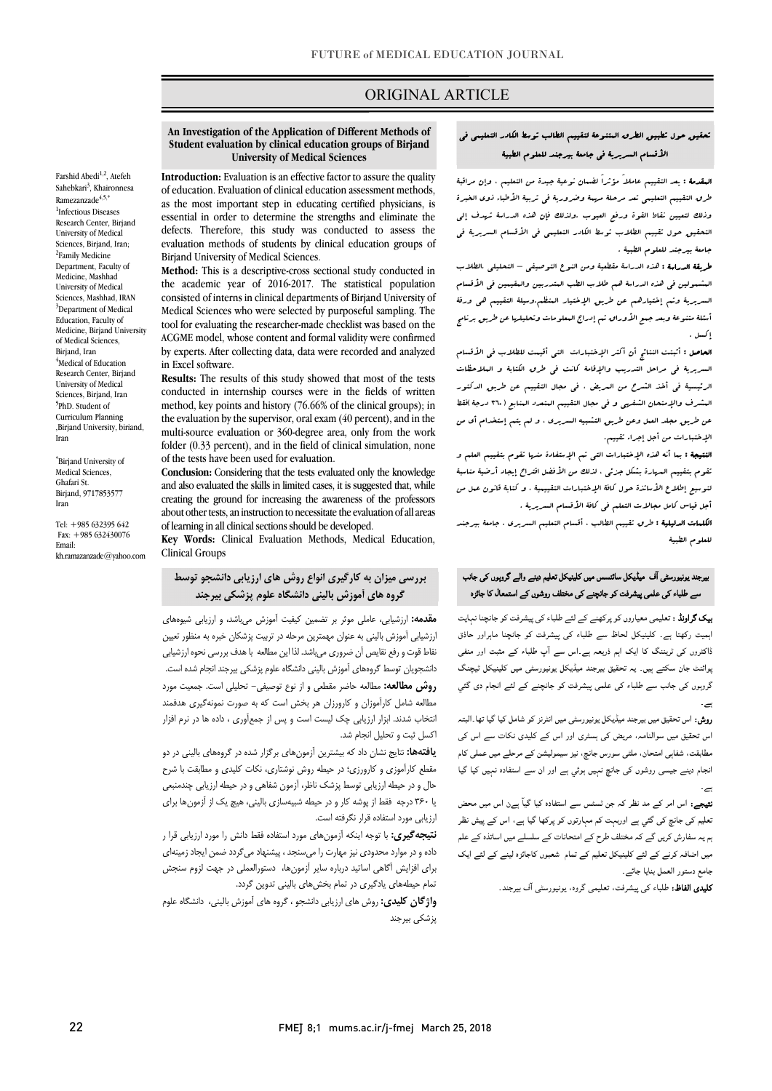## ORIGINAL ARTICLE

 **Student evaluation by clinical education groups of Birjand University of Medical Sciences An Investigation of the Application of Different Methods of** 

Ī

 **Introduction:** Evaluation is an effective factor to assure the quality of education. Evaluation of clinical education assessment methods, essential in order to determine the strengths and eliminate the defects. Therefore, this study was conducted to assess the evaluation methods of students by clinical education groups of<br>Pirior d University of Madical Sciences **Method:** This is a descriptive-cross sectional study conducted in as the most important step in educating certified physicians, is Birjand University of Medical Sciences.

 the academic year of 2016-2017. The statistical population Medical Sciences who were selected by purposeful sampling. The tool for evaluating the researcher-made checklist was based on the by experts. After collecting data, data were recorded and analyzed consisted of interns in clinical departments of Birjand University of ACGME model, whose content and formal validity were confirmed in Excel software.

 **Results:** The results of this study showed that most of the tests method, key points and history (76.66% of the clinical groups); in the evaluation by the supervisor, oral exam (40 percent), and in the multi-source evaluation or 360-degree area, only from the work folder (0.33 percent), and in the field of clinical simulation, none conducted in internship courses were in the fields of written of the tests have been used for evaluation.

 **Conclusion:** Considering that the tests evaluated only the knowledge creating the ground for increasing the awareness of the professors about other tests, an instruction to necessitate the evaluation of all areas of learning in all clinical sections should be developed. and also evaluated the skills in limited cases, it is suggested that, while

**Key Words:** Clinical Evaluation Methods, Medical Education, Clinical Groups

## **بررسی میزان به کارگیري انواع روش هاي ارزیابی دانشجو توسط**   $\overline{a}$ **گروه هاي آموزش بالینی دانشگاه علوم پزشکی بیرجند**

 ارزشیابی آموزش بالینی به عنوان مهمترین مرحله در تربیت پزشکان خبره به منظور تعیین دانشجویان توسط گروههاي آموزش بالینی دانشگاه علوم پزشکی بیرجند انجام شده است. **روش مطالعه:** مطالعه حاضر مقطعی و از نوع توصیفی- تحلیلی است. جمعیت مورد مطالعه شامل کارآموزان و کارورزان هر بخش است که به صورت نمونهگیري هدفمند انتخاب شدند. ابزار ارزیابی چک لیست است و پس از جمعآوري ، داده ها در نرم افزار اکسل ثبت و تحلیل انجام شد. نقاط قوت و رفع نقایص آن ضروري میباشد. لذا این مطالعه با هدف بررسی نحوه ارزشیابی

 **یافتهها:** نتایج نشان داد که بیشترین آزمونهاي برگزار شده در گروههاي بالینی در دو مقطع کارآموزي و کارورزي؛ در حیطه روش نوشتاري، نکات کلیدي و مطابقت با شرح صال و در حیصه ازریابی توسط پرست تاحرا ارتقول شناسی و در حیصه ازریابی چندسبتی<br>یا ۳۶۰ درجه ً فقط از پوشه کار و در حیطه شبیهسازی بالینی، هیچ یک از آزمونها برای ارزیابی مورد استفاده قرار نگرفته است. حال و در حیطه ارزیابی توسط پزشک ناظر، آزمون شفاهی و در حیطه ارزیابی چندمنبعی

 **نتیجهگیري:** با توجه اینکه آزمونهاي مورد استفاده فقط دانش را مورد ارزیابی قرا ر داده و در موارد محدودي نیز مهارت را میسنجد ، پیشنهاد میگردد ضمن ایجاد زمینهاي براي افزایش آگاهی اساتید درباره سایر آزمونها، دستورالعملی در جهت لزوم سنجش تمام حیطههاي یادگیري در تمام بخشهاي بالینی تدوین گردد.

 **واژگان کلیدي:** روش هاي ارزیابی دانشجو ، گروه هاي آموزش بالینی، دانشگاه علوم پزشکی بیرجند

## تحقیق حول تطبیق الطرق المتنوعۀ لتقییم الطالب توسط الکادر التعلیمی فی الأقسام السریریۀ فی جامعۀ بیرجند للعلوم الطبیۀ

ص

 المقدمۀ : یعد التقییم عاملاً مؤثراً لضمان نوعیۀ جیدة من التعلیم ، وإن مراقبۀ طرق التقییم التعلیمی تعد مرحلۀ مهمۀ وضروریۀ فی تربیۀ الأطباء ذوي الخبرة وذلک لتعیین نقاط القوة ورفع العیوب .ولذلک فإن هذه الدراسۀ تهدف إلى التحقیق حول تقییم الطلاب توسط الکادر التعلیمی فی الأقسام السریریۀ فی جامعۀ بیرجند للعلوم الطبیۀ .

 طریقۀ الدراسۀ : هذه الدراسۀ مقطعیۀ ومن النوع التوصیفی – التحلیلی .الطلاب المشمولین فی هذه الدراسۀ هم طلاب الطب المتدربین والمقیمین فی الأقسام السریریۀ وتم إختیارهم عن طریق الإختیار المنظم.وسیلۀ التقییم هی ورقۀ أسئلۀ متنوعۀ وبعد جسع الأوراق تم إدراج البعلومات وتحلیلها عن طریق برنامج<br>م إکسل .

.<br>**العاصل :** أثبتت النتائج أن أكثر الإختبارات الت<sub>ى</sub> أقيمت للطلاب فى الأقسام السریریۀ فی مراحل التدریب والإقامۀ کانت فی طرق الکتابۀ و الملاحظات الرئیسیۀ فی أخذ الشرح من المریض ، فی مجال التقییم عن طریق الدکتور المشرف والإمتحان الشفهی و فی مجال التقییم المتعدد المنابع (360 درجۀ)فقط عن طریق مجلد العمل وعن طریق التشبیه السریري ، و لم یتم إستخدام أي من الإختبارات من أجل إجراء تقییم.

 النتیجۀ : بما أنه هذه الإختبارات التی تم الإستفادة منها تقوم بتقییم العلم و تقوم بتقییم المهارة بشکل جزئی ، لذلک من الأفضل اقتراح إیجاد أرضیۀ مناسبۀ لتوسیع إطلاع الأساتذة حول کافۀ الإختبارات التقییمیۀ ، و کتابۀ قانون عمل من أجل قیاس کامل مجالات التعلم فی کافۀ الأقسام السریریۀ .

ا**لکلمات الدلیلیۀ :** طرق تقییم الطالب . أقسام التعلیم السریری . جامعۀ بیرجند<br>. للعلوم الطبیۀ

# ۔<br>یرجند یونیورسٹی آف میڈیکل سائنسس میں کلینیکل تعلیم دینے والے گروہوں کی جانب ۔ مقدمت کے مطابق میں ہمیں ہے کہ مقدمت کے مقدمت کے مقدمت کے مقدمت کے مقدمت کے مقدمت کے مقدمت کے مقدمت کے مقدمت<br>سے طلباء کی علمی پیشرفت کو جاتچنے کی مختلف روشوں کے استعمال کا جائزہ

**یک گراونڈ :** تعلیمی معیاروں کو پرکھنے کے لئے طلباء کی پیشرفت کو جانچنا نہایت<br>۔ پہیں رہی ہیے۔ میہیں --- سے میہ می پیمرے ہو بہ پہ میہرر ---<br>ڈاکٹروں کی ٹریننگ کا ایک اہم ذریعہ ہے۔اس سے آپ طلباء کے مثبت اور منفی ۔۔۔ س س س س سے ہے۔<br>ہوائنٹ جان سکتے ہیں۔ یہ تحقیق بیرجند میڈیکل یونیورسٹی میں کلینیکل ٹیچنگ گروہوں کی جانب سے طلباء کی علمی پیشرفت کو جانچنے کے لئے انجام دی گئي <mark>یک گراونڈ : تع</mark>لیمی معیاروں کو پرکھنے کے لئے طلباء کی پیشرفت کو جانچنا نہیں تضمیل میڈر بر تضمین کیفیت آموزش می<sub>ن</sub>اشد، و ارزیابی شیوههای اہمیت رکھتا ہے۔ کلینیکل لحاظ سے طلباء کی پیشرفت کو جانچنا ماہراور حاذق ۔

> ر**وش:** اس تحقیق میں بیرجند میڈیکل یونیورسٹی میں انٹرنز کو شامل کیا گیا تھا۔البتہ اس تحقیق میں سوالنامہ، مریض کی ہسٹری اور اس کے کلیدی نکات سے اس کی مطابقت، شفاہی امتحان، ملٹی سورس جانچ، نیز سیمولیشن کے مرحلے میں عملی کام انجام دینے جیسی روشوں کی جانچ نہیں ہوئي ہے اور ان سے استفادہ نہیں کیا گیا ۔

> میجے. اس اس نے مد سر نہ بن سسن سے استعداد نیا ہیں ہیں ہیں مس کے بعد استعمار<br>تعلیم کی جانچ کی گئي ہے اوربہت کم مہارتوں کو پرکھا گیا ہے، اس کے پیش نظر ے مسلمان کے لیے اس کے اس کے اس کے اس کے اس کے اس کے اس کے اس کے اس کے اس کے اس کے اس کے درخ<br>ہم یہ سفارش کریں گے کہ مختلف طرح کے امتحانات کے سلسلے میں اساتذہ کے علم ۔<br>میں اضافہ کرنے کے لئے کلینیکل تعلیم کے تمام شعبوں کاجائزہ لینے کے لئے ایک جامع دستور العمل بنایا جائے۔ **تیجے:** اس امر کے مد نظر کہ جن ٹسٹس سے استفادہ کیا گیاؔ ہےن اس میں محض

> > **کلیدی الفاظ:** طلباء کی پیشرفت، تعلیمی گروہ، یونیورسٹی آف بیرجند<sub>۔</sub>

Farshid Abedi<sup>1,2</sup>, Atefeh Sahebkari<sup>3</sup>, Khaironnesa  $Ramezanzade<sup>4,5</sup>$ , 1 Infectious Diseases Research Center, Birjand University of Medical Sciences, Birjand, Iran; <sup>2</sup>Family Medicine Department, Faculty of Medicine, Mashhad University of Medical Sciences, Mashhad, IRAN <sup>3</sup>Department of Medical Education, Faculty of Medicine, Birjand University of Medical Sciences, Birjand, Iran 4 Medical of Education Research Center, Birjand University of Medical Sciences, Biriand, Iran 5 PhD. Student of Curriculum Planning ,Birjand University, biriand, Iran

\* Birjand University of Medical Sciences, Ghafari St. Birjand, 9717853577 Iran

Tel: +985 632395 642 Fax: +985 632430076 Email: kh.ramazanzade@yahoo.com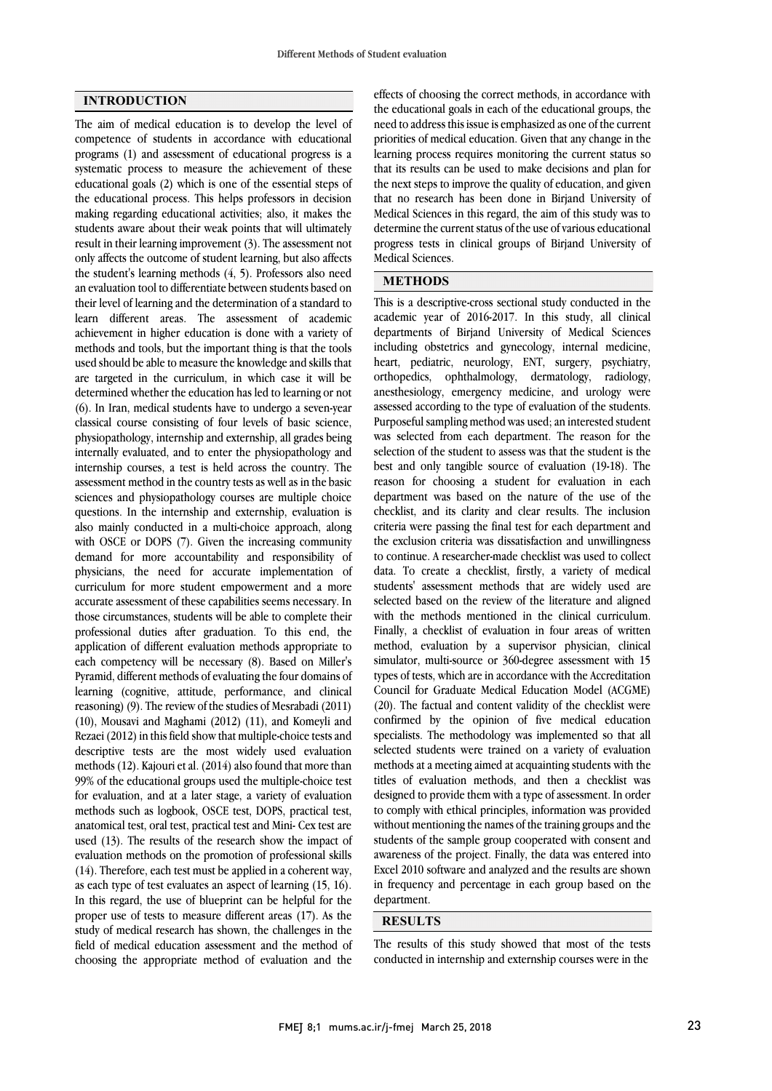#### **INTRODUCTION**

The aim of medical education is to develop the level of competence of students in accordance with educational programs (1) and assessment of educational progress is a systematic process to measure the achievement of these educational goals (2) which is one of the essential steps of the educational process. This helps professors in decision making regarding educational activities; also, it makes the students aware about their weak points that will ultimately result in their learning improvement (3). The assessment not only affects the outcome of student learning, but also affects the student's learning methods (4, 5). Professors also need an evaluation tool to differentiate between students based on their level of learning and the determination of a standard to learn different areas. The assessment of academic achievement in higher education is done with a variety of methods and tools, but the important thing is that the tools used should be able to measure the knowledge and skills that are targeted in the curriculum, in which case it will be determined whether the education has led to learning or not (6). In Iran, medical students have to undergo a seven-year classical course consisting of four levels of basic science, physiopathology, internship and externship, all grades being internally evaluated, and to enter the physiopathology and internship courses, a test is held across the country. The assessment method in the country tests as well as in the basic sciences and physiopathology courses are multiple choice questions. In the internship and externship, evaluation is also mainly conducted in a multi-choice approach, along with OSCE or DOPS (7). Given the increasing community demand for more accountability and responsibility of physicians, the need for accurate implementation of curriculum for more student empowerment and a more accurate assessment of these capabilities seems necessary. In those circumstances, students will be able to complete their professional duties after graduation. To this end, the application of different evaluation methods appropriate to each competency will be necessary (8). Based on Miller's Pyramid, different methods of evaluating the four domains of learning (cognitive, attitude, performance, and clinical reasoning) (9). The review of the studies of Mesrabadi (2011) (10), Mousavi and Maghami (2012) (11), and Komeyli and Rezaei (2012) in this field show that multiple-choice tests and descriptive tests are the most widely used evaluation methods (12). Kajouri et al. (2014) also found that more than 99% of the educational groups used the multiple-choice test for evaluation, and at a later stage, a variety of evaluation methods such as logbook, OSCE test, DOPS, practical test, anatomical test, oral test, practical test and Mini- Cex test are used (13). The results of the research show the impact of evaluation methods on the promotion of professional skills (14). Therefore, each test must be applied in a coherent way, as each type of test evaluates an aspect of learning (15, 16). In this regard, the use of blueprint can be helpful for the proper use of tests to measure different areas (17). As the study of medical research has shown, the challenges in the field of medical education assessment and the method of choosing the appropriate method of evaluation and the

 the educational goals in each of the educational groups, the need to address this issue is emphasized as one of the current priorities of medical education. Given that any change in the learning process requires monitoring the current status so the next steps to improve the quality of education, and given that no research has been done in Birjand University of Medical Sciences in this regard, the aim of this study was to determine the current status of the use of various educational Medical Sciences. effects of choosing the correct methods, in accordance with that its results can be used to make decisions and plan for progress tests in clinical groups of Birjand University of

### <u>.</u> **METHODS**

 This is a descriptive-cross sectional study conducted in the departments of Birjand University of Medical Sciences including obstetrics and gynecology, internal medicine, heart, pediatric, neurology, ENT, surgery, psychiatry, orthopedics, ophthalmology, dermatology, radiology, ancelestology, emergency medicine, and along, were Purposeful sampling method was used; an interested student was selected from each department. The reason for the selection of the student to assess was that the student is the reason for choosing a student for evaluation in each department was based on the nature of the use of the checklist, and its clarity and clear results. The inclusion criteria were passing the final test for each department and to continue. A researcher-made checklist was used to collect data. To create a checklist, firstly, a variety of medical students' assessment methods that are widely used are selected based on the review of the literature and aligned Finally, a checklist of evaluation in four areas of written method, evaluation by a supervisor physician, clinical simulator, multi-source or 360-degree assessment with 15 types of tests, which are in accordance with the Accreditation (20). The factual and content validity of the checklist were confirmed by the opinion of five medical education specialists. The methodology was implemented so that all selected students were trained on a variety of evaluation titles of evaluation methods, and then a checklist was designed to provide them with a type of assessment. In order to comply with ethical principles, information was provided without mentioning the names of the training groups and the awareness of the project. Finally, the data was entered into Excel 2010 software and analyzed and the results are shown in frequency and percentage in each group based on the department. academic year of 2016-2017. In this study, all clinical anesthesiology, emergency medicine, and urology were best and only tangible source of evaluation (19-18). The the exclusion criteria was dissatisfaction and unwillingness with the methods mentioned in the clinical curriculum. Council for Graduate Medical Education Model (ACGME) methods at a meeting aimed at acquainting students with the students of the sample group cooperated with consent and

#### **RESULTS**

 The results of this study showed that most of the tests conducted in internship and externship courses were in the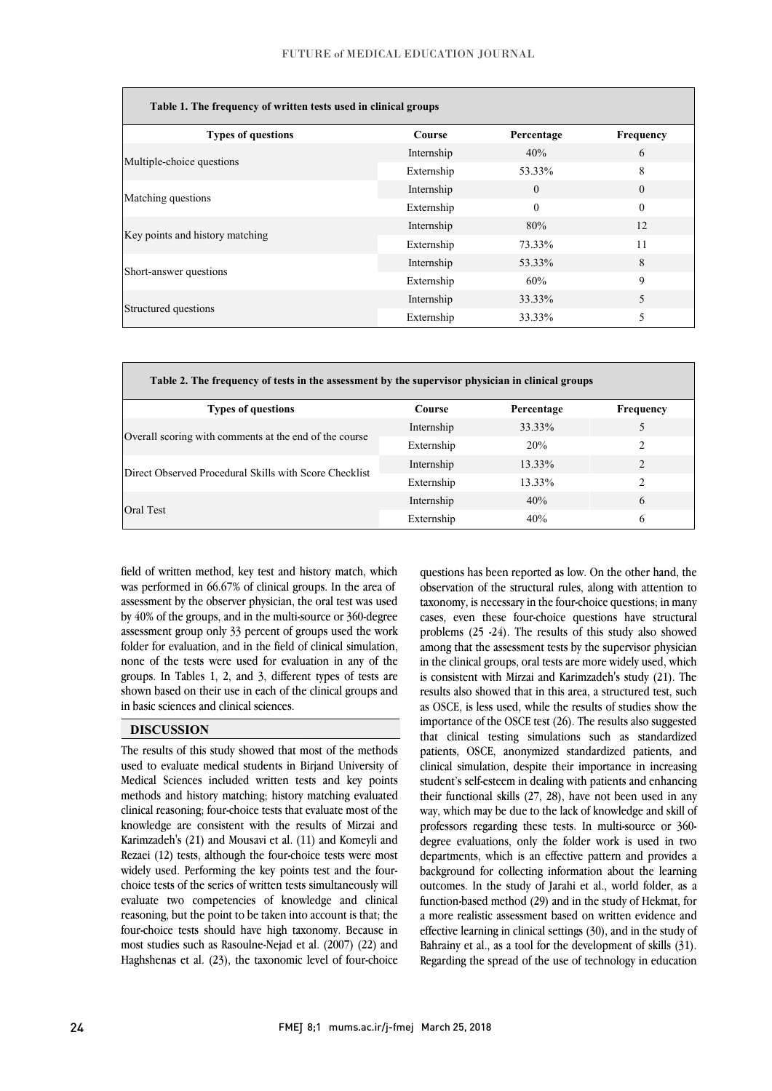l

| Table 1. The frequency of written tests used in clinical groups |               |            |           |  |
|-----------------------------------------------------------------|---------------|------------|-----------|--|
| <b>Types of questions</b>                                       | <b>Course</b> | Percentage | Frequency |  |
|                                                                 | Internship    | 40%        | 6         |  |
| Multiple-choice questions                                       | Externship    | 53.33%     | 8         |  |
|                                                                 | Internship    | $\Omega$   | $\Omega$  |  |
| Matching questions                                              | Externship    | $\theta$   | $\theta$  |  |
|                                                                 | Internship    | 80%        | 12        |  |
| Key points and history matching                                 | Externship    | 73.33%     | 11        |  |
| Short-answer questions                                          | Internship    | 53.33%     | 8         |  |
|                                                                 | Externship    | 60%        | 9         |  |
| Structured questions                                            | Internship    | 33.33%     | 5         |  |
|                                                                 | Externship    | 33.33%     | 5         |  |

| Table 2. The frequency of tests in the assessment by the supervisor physician in clinical groups |               |            |                |  |
|--------------------------------------------------------------------------------------------------|---------------|------------|----------------|--|
| <b>Types of questions</b>                                                                        | <b>Course</b> | Percentage | Frequency      |  |
| Overall scoring with comments at the end of the course                                           | Internship    | 33.33%     |                |  |
|                                                                                                  | Externship    | 20%        | $\mathfrak{D}$ |  |
| Direct Observed Procedural Skills with Score Checklist                                           | Internship    | 13.33%     | $\mathfrak{D}$ |  |
|                                                                                                  | Externship    | 13.33%     | $\mathcal{P}$  |  |
| Oral Test                                                                                        | Internship    | 40%        | 6              |  |
|                                                                                                  | Externship    | 40%        | 6              |  |

 field of written method, key test and history match, which was performed in 66.67% of clinical groups. In the area of assessment by the observer physician, the oral test was used by 10% of the groups, that in the multi-solated of 300 degree folder for evaluation, and in the field of clinical simulation, none of the tests were used for evaluation in any of the groups. In Tables 1, 2, and 3, different types of tests are shown based on their use in each of the clinical groups and<br>in hardcaling are and aliminal attacks by 40% of the groups, and in the multi-source or 360-degree in basic sciences and clinical sciences.

## **DISCUSSION**

 The results of this study showed that most of the methods Medical Sciences included written tests and key points methods and history matching; history matching evaluated clinical reasoning; four-choice tests that evaluate most of the knowledge are consistent with the results of Mirzai and Rezaei  $(12)$  tests, although the four-choice tests were most widely used. Performing the key points test and the four- choice tests of the series of written tests simultaneously will evaluate two competencies of knowledge and clinical four-choice tests should have high taxonomy. Because in most studies such as Rasoulne-Nejad et al. (2007) (22) and Haghshenas et al. (23), the taxonomic level of four-choice used to evaluate medical students in Birjand University of Karimzadeh's (21) and Mousavi et al. (11) and Komeyli and reasoning, but the point to be taken into account is that; the

 questions has been reported as low. On the other hand, the observation of the structural rules, along with attention to taxonomy, is necessary in the four-choice questions; in many problems (25 -24). The results of this study also showed among that the assessment tests by the supervisor physician in the clinical groups, oral tests are more widely used, which is consistent with Mirzai and Karimzadeh's study (21). The as OSCE, is less used, while the results of studies show the importance of the OSCE test (26). The results also suggested that clinical testing simulations such as standardized patients, OSCE, anonymized standardized patients, and student's self-esteem in dealing with patients and enhancing their functional skills  $(27, 28)$ , have not been used in any way, which may be due to the lack of knowledge and skill of professors regarding these tests. In multi-source or 360- departments, which is an effective pattern and provides a background for collecting information about the learning outcomes. In the study of Jarahi et al., world folder, as a function-based method (29) and in the study of Hekmat, for effective learning in clinical settings (30), and in the study of Bahrainy et al., as a tool for the development of skills (31). Regarding the spread of the use of technology in education cases, even these four-choice questions have structural results also showed that in this area, a structured test, such clinical simulation, despite their importance in increasing degree evaluations, only the folder work is used in two a more realistic assessment based on written evidence and

֦

 $\overline{a}$ ׇ֡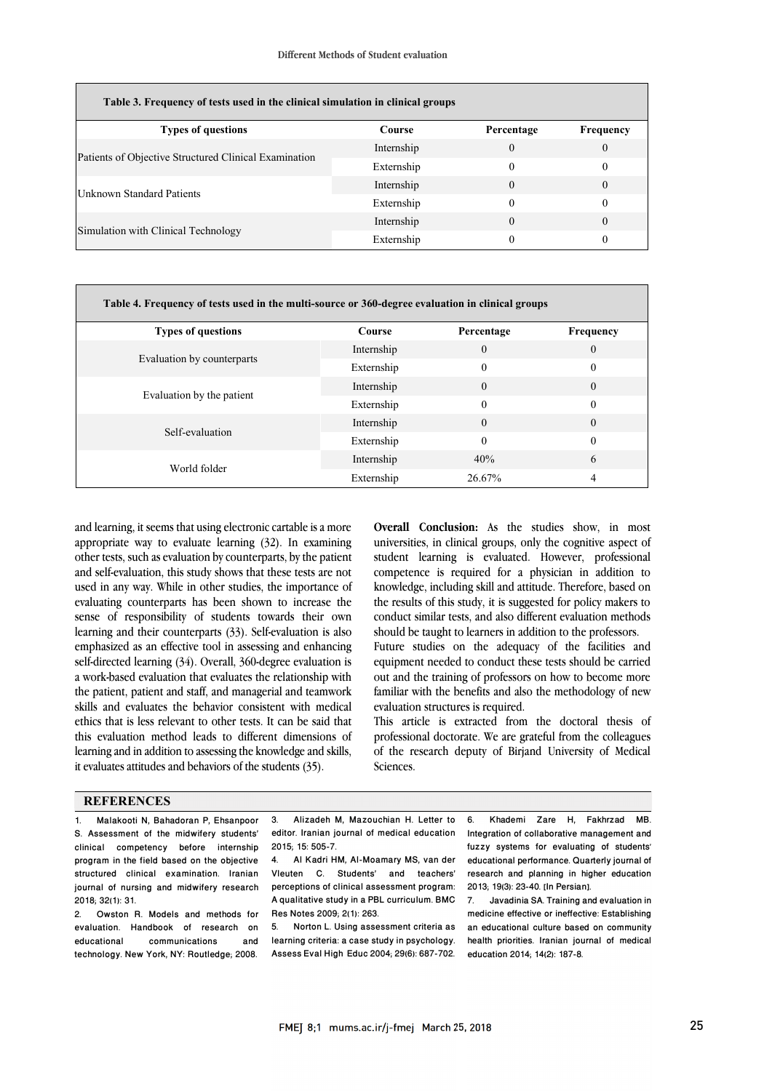| Table 3. Frequency of tests used in the clinical simulation in clinical groups |            |            |                  |  |
|--------------------------------------------------------------------------------|------------|------------|------------------|--|
| <b>Types of questions</b>                                                      | Course     | Percentage | <b>Frequency</b> |  |
| Patients of Objective Structured Clinical Examination                          | Internship | $\Omega$   | $\theta$         |  |
|                                                                                | Externship | $\theta$   | $\theta$         |  |
| <b>Unknown Standard Patients</b>                                               | Internship | $\Omega$   | $\theta$         |  |
|                                                                                | Externship | 0          | $\theta$         |  |
| Simulation with Clinical Technology                                            | Internship | 0          | $\theta$         |  |
|                                                                                | Externship | 0          | 0                |  |
|                                                                                |            |            |                  |  |

| Table 4. Frequency of tests used in the multi-source or 360-degree evaluation in clinical groups |               |            |           |  |
|--------------------------------------------------------------------------------------------------|---------------|------------|-----------|--|
| <b>Types of questions</b>                                                                        | <b>Course</b> | Percentage | Frequency |  |
| Evaluation by counterparts                                                                       | Internship    | $\Omega$   | $\theta$  |  |
|                                                                                                  | Externship    | 0          | $\Omega$  |  |
| Evaluation by the patient                                                                        | Internship    | 0          | $\Omega$  |  |
|                                                                                                  | Externship    | $\theta$   | $\Omega$  |  |
| Self-evaluation                                                                                  | Internship    | $\Omega$   | $\Omega$  |  |
|                                                                                                  | Externship    | $\theta$   | $\Omega$  |  |
| World folder                                                                                     | Internship    | 40%        | 6         |  |
|                                                                                                  | Externship    | 26.67%     | 4         |  |

and learning, it seems that using electronic cartable is a more appropriate way to evaluate learning (32). In examining other tests, such as evaluation by counterparts, by the patient and self-evaluation, this study shows that these tests are not used in any way. While in other studies, the importance of evaluating counterparts has been shown to increase the sense of responsibility of students towards their own learning and their counterparts (33). Self-evaluation is also emphasized as an effective tool in assessing and enhancing self-directed learning (34). Overall, 360-degree evaluation is a work-based evaluation that evaluates the relationship with the patient, patient and staff, and managerial and teamwork skills and evaluates the behavior consistent with medical ethics that is less relevant to other tests. It can be said that this evaluation method leads to different dimensions of learning and in addition to assessing the knowledge and skills, it evaluates attitudes and behaviors of the students (35).

 **Overall Conclusion:** As the studies show, in most universities, in clinical groups, only the cognitive aspect of competence is required for a physician in addition to knowledge, including skill and attitude. Therefore, based on the results of this study, it is suggested for policy makers to should be taught to learners in addition to the professors. student learning is evaluated. However, professional conduct similar tests, and also different evaluation methods

Future studies on the adequacy of the facilities and equipment needed to conduct these tests should be carried out and the training of professors on how to become more evaluation structures is required. familiar with the benefits and also the methodology of new

 This article is extracted from the doctoral thesis of professional doctorate. We are grateful from the colleagues of the research deputy of Birjand University of Medical Sciences.

#### **REFERENCES**

1. Malakooti N, Bahadoran P, Ehsanpoor S. Assessment of the midwifery students' clinical competency before internship program in the field based on the objective structured clinical examination. Iranian journal of nursing and midwifery research 2018; 32(1): 31.

2. Owston R. Models and methods for evaluation. Handbook of research on educational communications and technology. New York, NY: Routledge; 2008.

 3. Alizadeh M, Mazouchian H. Letter to editor. Iranian journal of medical education 2015; 15: 505-7.

ֺ

 Vleuten C. Students' and teachers' perceptions of clinical assessment program: 4. Al Kadri HM, Al-Moamary MS, van der A qualitative study in a PBL curriculum. BMC Res Notes 2009; 2(1): 263.

Norton L. Using assessment criteria as learning criteria: a case study in psychology. Assess Eval High Educ 2004; 29(6): 687-702.

6. Khademi Zare H, Fakhrzad MB. Integration of collaborative management and fuzzy systems for evaluating of students' educational performance. Quarterly journal of research and planning in higher education 2013; 19(3): 23-40. [In Persian].

7. Javadinia SA. Training and evaluation in medicine effective or ineffective: Establishing an educational culture based on community health priorities. Iranian journal of medical education 2014; 14(2): 187-8.